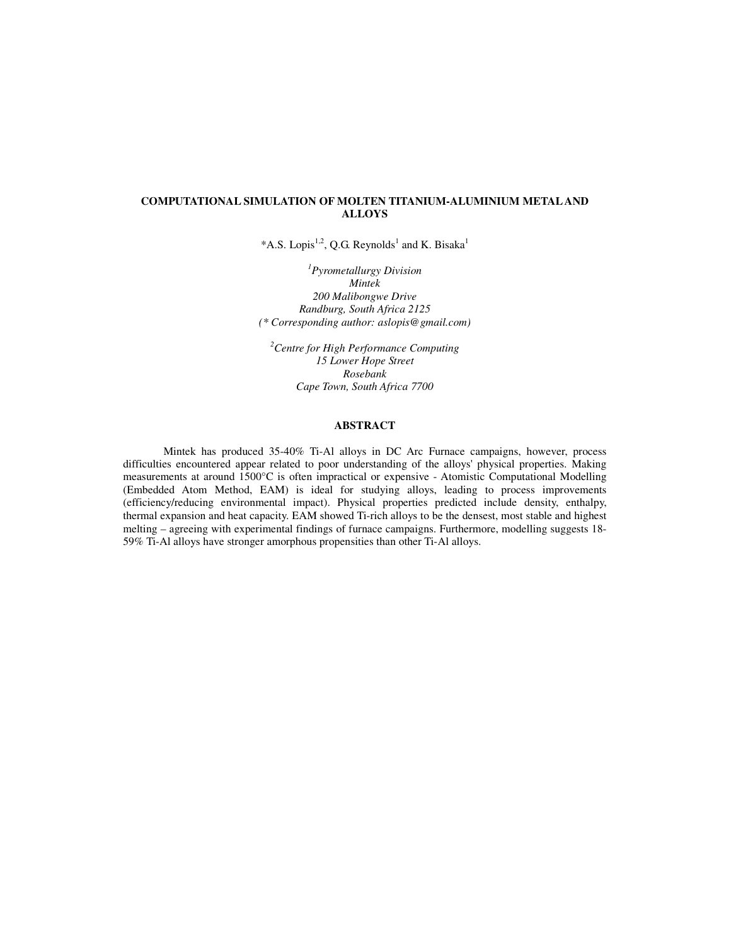## **COMPUTATIONAL SIMULATION OF MOLTEN TITANIUM-ALUMINIUM METAL AND ALLOYS**

\*A.S. Lopis<sup>1,2</sup>, Q.G. Reynolds<sup>1</sup> and K. Bisaka<sup>1</sup>

*1 Pyrometallurgy Division Mintek 200 Malibongwe Drive Randburg, South Africa 2125 (\* Corresponding author: aslopis@gmail.com)* 

*<sup>2</sup>Centre for High Performance Computing 15 Lower Hope Street Rosebank Cape Town, South Africa 7700*

## **ABSTRACT**

Mintek has produced 35-40% Ti-Al alloys in DC Arc Furnace campaigns, however, process difficulties encountered appear related to poor understanding of the alloys' physical properties. Making measurements at around 1500°C is often impractical or expensive - Atomistic Computational Modelling (Embedded Atom Method, EAM) is ideal for studying alloys, leading to process improvements (efficiency/reducing environmental impact). Physical properties predicted include density, enthalpy, thermal expansion and heat capacity. EAM showed Ti-rich alloys to be the densest, most stable and highest melting – agreeing with experimental findings of furnace campaigns. Furthermore, modelling suggests 18- 59% Ti-Al alloys have stronger amorphous propensities than other Ti-Al alloys.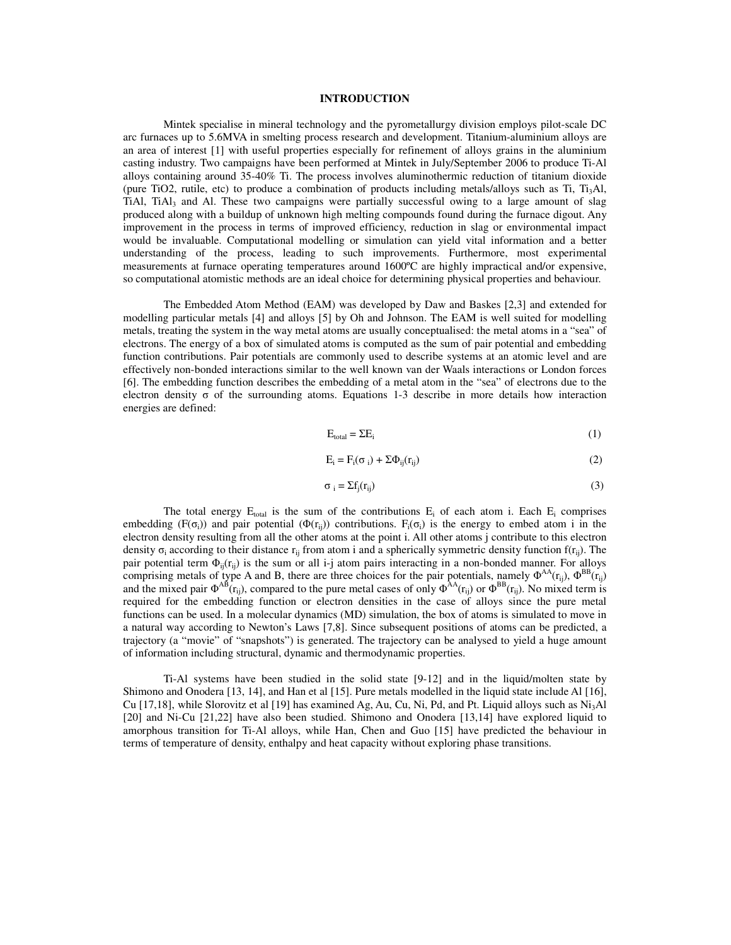## **INTRODUCTION**

Mintek specialise in mineral technology and the pyrometallurgy division employs pilot-scale DC arc furnaces up to 5.6MVA in smelting process research and development. Titanium-aluminium alloys are an area of interest [1] with useful properties especially for refinement of alloys grains in the aluminium casting industry. Two campaigns have been performed at Mintek in July/September 2006 to produce Ti-Al alloys containing around 35-40% Ti. The process involves aluminothermic reduction of titanium dioxide (pure TiO2, rutile, etc) to produce a combination of products including metals/alloys such as Ti, T<sub>i3</sub>Al, TiAl, TiAl<sub>3</sub> and Al. These two campaigns were partially successful owing to a large amount of slag produced along with a buildup of unknown high melting compounds found during the furnace digout. Any improvement in the process in terms of improved efficiency, reduction in slag or environmental impact would be invaluable. Computational modelling or simulation can yield vital information and a better understanding of the process, leading to such improvements. Furthermore, most experimental measurements at furnace operating temperatures around 1600ºC are highly impractical and/or expensive, so computational atomistic methods are an ideal choice for determining physical properties and behaviour.

The Embedded Atom Method (EAM) was developed by Daw and Baskes [2,3] and extended for modelling particular metals [4] and alloys [5] by Oh and Johnson. The EAM is well suited for modelling metals, treating the system in the way metal atoms are usually conceptualised: the metal atoms in a "sea" of electrons. The energy of a box of simulated atoms is computed as the sum of pair potential and embedding function contributions. Pair potentials are commonly used to describe systems at an atomic level and are effectively non-bonded interactions similar to the well known van der Waals interactions or London forces [6]. The embedding function describes the embedding of a metal atom in the "sea" of electrons due to the electron density  $\sigma$  of the surrounding atoms. Equations 1-3 describe in more details how interaction energies are defined:

$$
E_{\text{total}} = \Sigma E_i \tag{1}
$$

$$
E_i = F_i(\sigma_i) + \Sigma \Phi_{ij}(r_{ij})
$$
 (2)

$$
\sigma_i = \sum f_j(r_{ij})
$$
 (3)

The total energy  $E_{total}$  is the sum of the contributions  $E_i$  of each atom i. Each  $E_i$  comprises embedding (F( $\sigma_i$ )) and pair potential ( $\Phi(r_{ij})$ ) contributions. F<sub>i</sub>( $\sigma_i$ ) is the energy to embed atom i in the electron density resulting from all the other atoms at the point i. All other atoms j contribute to this electron density  $\sigma_i$  according to their distance  $r_{ij}$  from atom i and a spherically symmetric density function  $f(r_{ij})$ . The pair potential term  $\Phi_{ij}(r_{ij})$  is the sum or all i-j atom pairs interacting in a non-bonded manner. For alloys comprising metals of type A and B, there are three choices for the pair potentials, namely  $\Phi^{AA}(r_{ij})$ ,  $\Phi^{BB}(r_{ij})$ and the mixed pair  $\Phi^{AB}$ (r<sub>ij</sub>), compared to the pure metal cases of only  $\Phi^{AA}(r_{ij})$  or  $\Phi^{BB}(r_{ij})$ . No mixed term is required for the embedding function or electron densities in the case of alloys since the pure metal functions can be used. In a molecular dynamics (MD) simulation, the box of atoms is simulated to move in a natural way according to Newton's Laws [7,8]. Since subsequent positions of atoms can be predicted, a trajectory (a "movie" of "snapshots") is generated. The trajectory can be analysed to yield a huge amount of information including structural, dynamic and thermodynamic properties.

Ti-Al systems have been studied in the solid state [9-12] and in the liquid/molten state by Shimono and Onodera [13, 14], and Han et al [15]. Pure metals modelled in the liquid state include Al [16], Cu [17,18], while Slorovitz et al [19] has examined Ag, Au, Cu, Ni, Pd, and Pt. Liquid alloys such as  $Ni<sub>3</sub>Al$ [20] and Ni-Cu [21,22] have also been studied. Shimono and Onodera [13,14] have explored liquid to amorphous transition for Ti-Al alloys, while Han, Chen and Guo [15] have predicted the behaviour in terms of temperature of density, enthalpy and heat capacity without exploring phase transitions.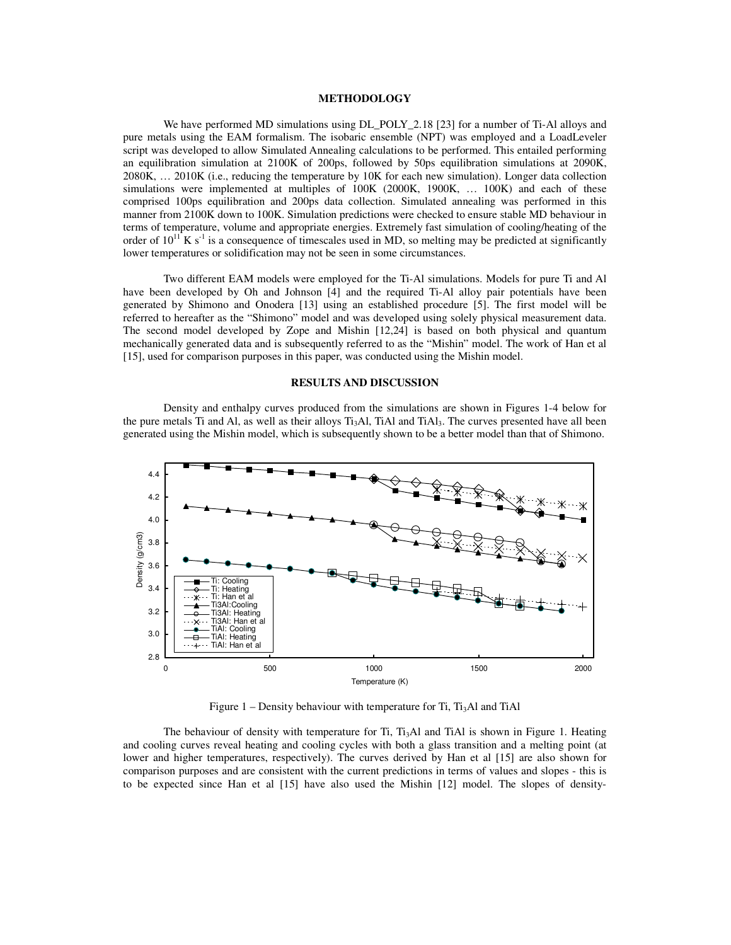## **METHODOLOGY**

We have performed MD simulations using  $DL_1POLY_2.18$  [23] for a number of Ti-Al alloys and pure metals using the EAM formalism. The isobaric ensemble (NPT) was employed and a LoadLeveler script was developed to allow Simulated Annealing calculations to be performed. This entailed performing an equilibration simulation at 2100K of 200ps, followed by 50ps equilibration simulations at 2090K, 2080K, … 2010K (i.e., reducing the temperature by 10K for each new simulation). Longer data collection simulations were implemented at multiples of 100K (2000K, 1900K, … 100K) and each of these comprised 100ps equilibration and 200ps data collection. Simulated annealing was performed in this manner from 2100K down to 100K. Simulation predictions were checked to ensure stable MD behaviour in terms of temperature, volume and appropriate energies. Extremely fast simulation of cooling/heating of the order of  $10^{11}$  K s<sup>-1</sup> is a consequence of timescales used in MD, so melting may be predicted at significantly lower temperatures or solidification may not be seen in some circumstances.

Two different EAM models were employed for the Ti-Al simulations. Models for pure Ti and Al have been developed by Oh and Johnson [4] and the required Ti-Al alloy pair potentials have been generated by Shimono and Onodera [13] using an established procedure [5]. The first model will be referred to hereafter as the "Shimono" model and was developed using solely physical measurement data. The second model developed by Zope and Mishin [12,24] is based on both physical and quantum mechanically generated data and is subsequently referred to as the "Mishin" model. The work of Han et al [15], used for comparison purposes in this paper, was conducted using the Mishin model.

## **RESULTS AND DISCUSSION**

Density and enthalpy curves produced from the simulations are shown in Figures 1-4 below for the pure metals Ti and Al, as well as their alloys  $Ti<sub>3</sub>AI$ , TiAl and TiAl $<sub>3</sub>$ . The curves presented have all been</sub> generated using the Mishin model, which is subsequently shown to be a better model than that of Shimono.



Figure  $1$  – Density behaviour with temperature for Ti, Ti<sub>3</sub>Al and TiAl

The behaviour of density with temperature for Ti,  $Ti<sub>3</sub>Al$  and TiAl is shown in Figure 1. Heating and cooling curves reveal heating and cooling cycles with both a glass transition and a melting point (at lower and higher temperatures, respectively). The curves derived by Han et al [15] are also shown for comparison purposes and are consistent with the current predictions in terms of values and slopes - this is to be expected since Han et al [15] have also used the Mishin [12] model. The slopes of density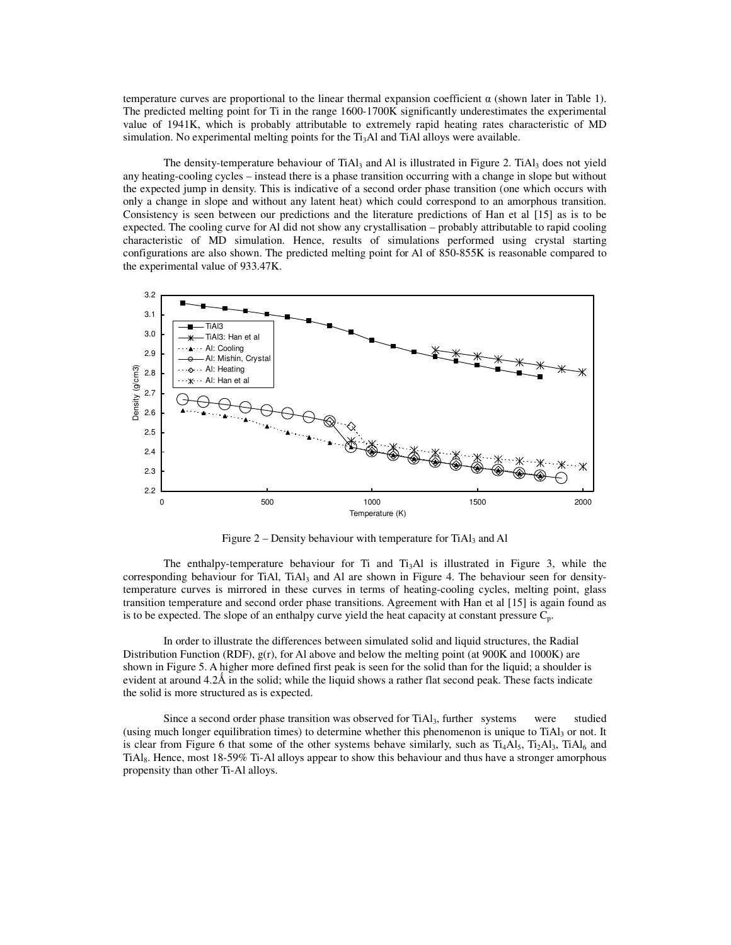temperature curves are proportional to the linear thermal expansion coefficient  $\alpha$  (shown later in Table 1). The predicted melting point for Ti in the range 1600-1700K significantly underestimates the experimental value of 1941K, which is probably attributable to extremely rapid heating rates characteristic of MD simulation. No experimental melting points for the  $Ti<sub>3</sub>Al$  and  $Ti<sub>Al</sub>$  alloys were available.

The density-temperature behaviour of TiAl<sub>3</sub> and Al is illustrated in Figure 2. TiAl<sub>3</sub> does not yield any heating-cooling cycles – instead there is a phase transition occurring with a change in slope but without the expected jump in density. This is indicative of a second order phase transition (one which occurs with only a change in slope and without any latent heat) which could correspond to an amorphous transition. Consistency is seen between our predictions and the literature predictions of Han et al [15] as is to be expected. The cooling curve for Al did not show any crystallisation – probably attributable to rapid cooling characteristic of MD simulation. Hence, results of simulations performed using crystal starting configurations are also shown. The predicted melting point for Al of 850-855K is reasonable compared to the experimental value of 933.47K.



Figure  $2$  – Density behaviour with temperature for TiAl<sub>3</sub> and Al

The enthalpy-temperature behaviour for Ti and  $Ti<sub>3</sub>A1$  is illustrated in Figure 3, while the corresponding behaviour for TiAl, TiAl<sub>3</sub> and Al are shown in Figure 4. The behaviour seen for densitytemperature curves is mirrored in these curves in terms of heating-cooling cycles, melting point, glass transition temperature and second order phase transitions. Agreement with Han et al [15] is again found as is to be expected. The slope of an enthalpy curve yield the heat capacity at constant pressure  $C_p$ .

In order to illustrate the differences between simulated solid and liquid structures, the Radial Distribution Function (RDF),  $g(r)$ , for Al above and below the melting point (at 900K and 1000K) are shown in Figure 5. A higher more defined first peak is seen for the solid than for the liquid; a shoulder is evident at around  $4.2\text{\AA}$  in the solid; while the liquid shows a rather flat second peak. These facts indicate the solid is more structured as is expected.

Since a second order phase transition was observed for  $TiA<sub>13</sub>$ , further systems were studied (using much longer equilibration times) to determine whether this phenomenon is unique to TiAl3 or not. It is clear from Figure 6 that some of the other systems behave similarly, such as  $Ti_4AI_5$ ,  $Ti_2AI_3$ ,  $TiAl_6$  and TiAl8. Hence, most 18-59% Ti-Al alloys appear to show this behaviour and thus have a stronger amorphous propensity than other Ti-Al alloys.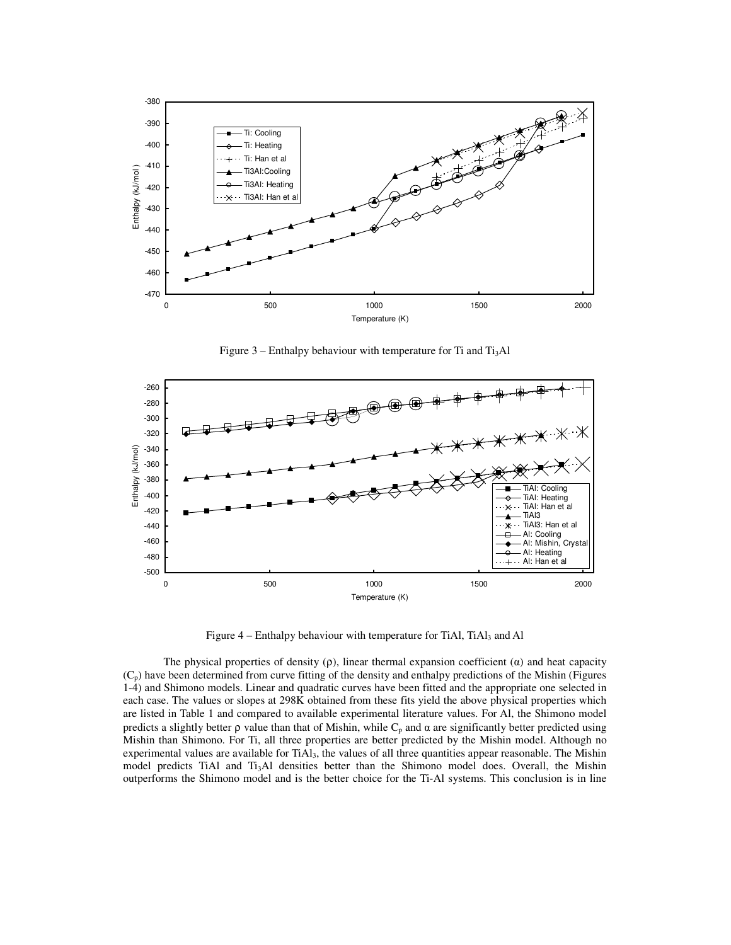

Figure  $3$  – Enthalpy behaviour with temperature for Ti and Ti<sub>3</sub>Al



Figure 4 – Enthalpy behaviour with temperature for TiAl, TiAl<sub>3</sub> and Al

The physical properties of density  $(\rho)$ , linear thermal expansion coefficient  $(\alpha)$  and heat capacity  $(C_p)$  have been determined from curve fitting of the density and enthalpy predictions of the Mishin (Figures 1-4) and Shimono models. Linear and quadratic curves have been fitted and the appropriate one selected in each case. The values or slopes at 298K obtained from these fits yield the above physical properties which are listed in Table 1 and compared to available experimental literature values. For Al, the Shimono model predicts a slightly better  $\rho$  value than that of Mishin, while  $C_p$  and  $\alpha$  are significantly better predicted using Mishin than Shimono. For Ti, all three properties are better predicted by the Mishin model. Although no experimental values are available for TiAl<sub>3</sub>, the values of all three quantities appear reasonable. The Mishin model predicts TiAl and Ti<sub>3</sub>Al densities better than the Shimono model does. Overall, the Mishin outperforms the Shimono model and is the better choice for the Ti-Al systems. This conclusion is in line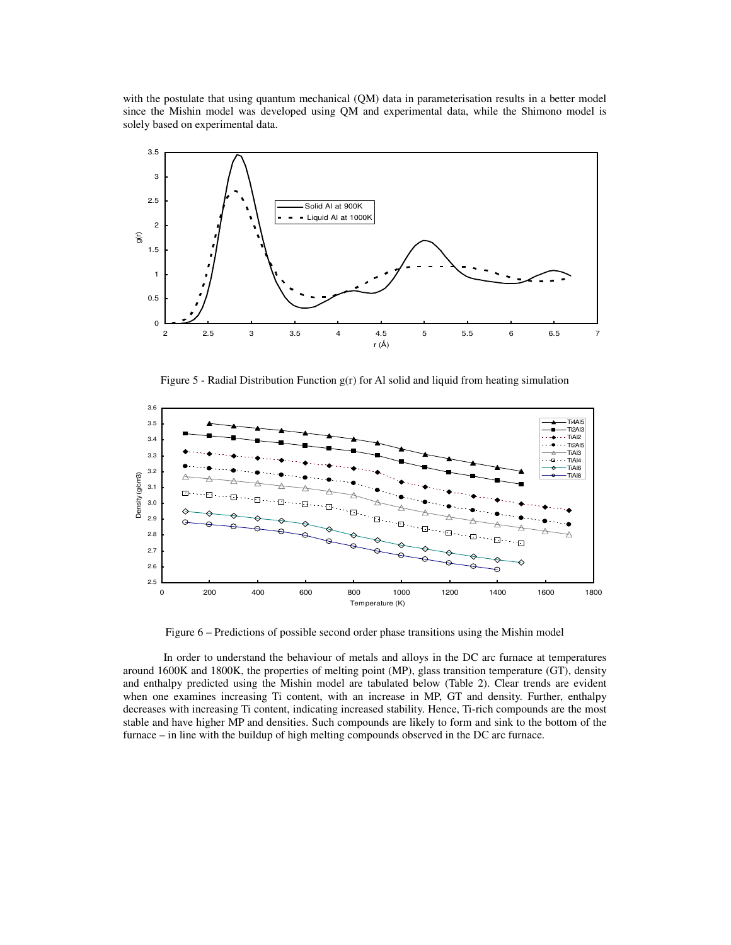with the postulate that using quantum mechanical (QM) data in parameterisation results in a better model since the Mishin model was developed using QM and experimental data, while the Shimono model is solely based on experimental data.



Figure 5 - Radial Distribution Function g(r) for Al solid and liquid from heating simulation



Figure 6 – Predictions of possible second order phase transitions using the Mishin model

In order to understand the behaviour of metals and alloys in the DC arc furnace at temperatures around 1600K and 1800K, the properties of melting point (MP), glass transition temperature (GT), density and enthalpy predicted using the Mishin model are tabulated below (Table 2). Clear trends are evident when one examines increasing Ti content, with an increase in MP, GT and density. Further, enthalpy decreases with increasing Ti content, indicating increased stability. Hence, Ti-rich compounds are the most stable and have higher MP and densities. Such compounds are likely to form and sink to the bottom of the furnace – in line with the buildup of high melting compounds observed in the DC arc furnace.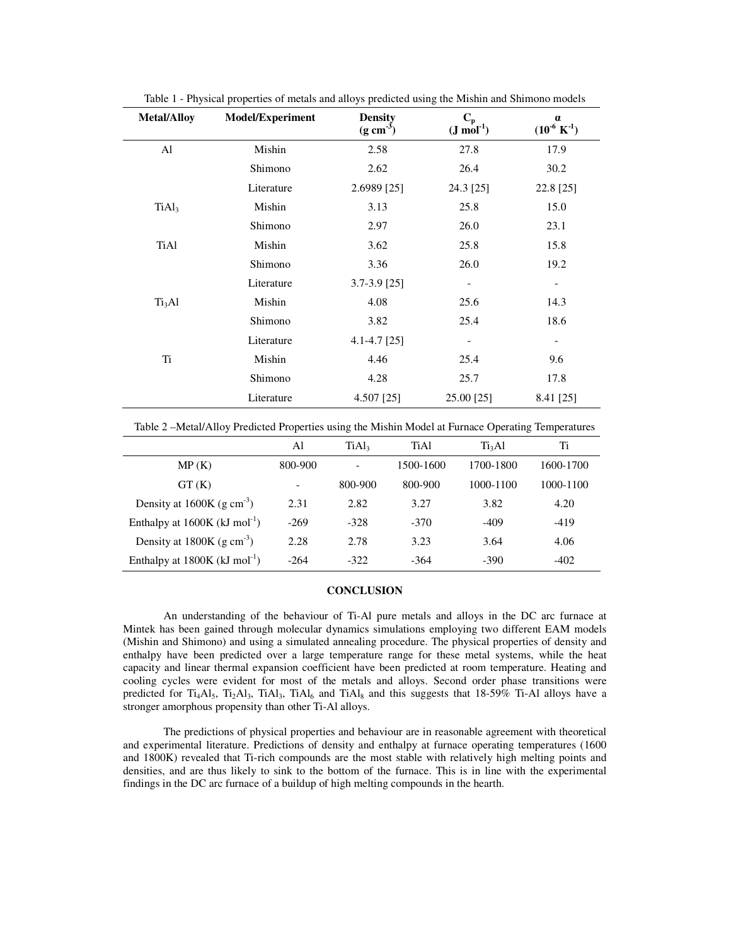| <b>Metal/Alloy</b> | <b>Model/Experiment</b> | <b>Density</b><br>$(g \text{ cm}^{-3})$ | $C_p$<br>$(J \text{ mol}^{-1})$ | $\alpha$<br>$(10^{-6} \text{ K}^{-1})$ |
|--------------------|-------------------------|-----------------------------------------|---------------------------------|----------------------------------------|
| Al                 | Mishin                  | 2.58                                    | 27.8                            | 17.9                                   |
|                    | Shimono                 | 2.62                                    | 26.4                            | 30.2                                   |
|                    | Literature              | 2.6989 [25]                             | 24.3 [25]                       | 22.8 [25]                              |
| TiAl <sub>3</sub>  | Mishin                  | 3.13                                    | 25.8                            | 15.0                                   |
|                    | Shimono                 | 2.97                                    | 26.0                            | 23.1                                   |
| <b>TiAl</b>        | Mishin                  | 3.62                                    | 25.8                            | 15.8                                   |
|                    | Shimono                 | 3.36                                    | 26.0                            | 19.2                                   |
|                    | Literature              | $3.7 - 3.9$ [25]                        | $\overline{\phantom{a}}$        | $\overline{\phantom{a}}$               |
| Ti <sub>3</sub> Al | Mishin                  | 4.08                                    | 25.6                            | 14.3                                   |
|                    | Shimono                 | 3.82                                    | 25.4                            | 18.6                                   |
|                    | Literature              | $4.1 - 4.7$ [25]                        | $\overline{\phantom{0}}$        | $\qquad \qquad \blacksquare$           |
| Ti                 | Mishin                  | 4.46                                    | 25.4                            | 9.6                                    |
|                    | Shimono                 | 4.28                                    | 25.7                            | 17.8                                   |
|                    | Literature              | 4.507 [25]                              | 25.00 [25]                      | 8.41 [25]                              |

Table 1 - Physical properties of metals and alloys predicted using the Mishin and Shimono models

Table 2 –Metal/Alloy Predicted Properties using the Mishin Model at Furnace Operating Temperatures

|                                             | Al                       | TiAl <sub>3</sub> | TiAl      | Ti <sub>3</sub> Al | Ti        |
|---------------------------------------------|--------------------------|-------------------|-----------|--------------------|-----------|
| MP(K)                                       | 800-900                  |                   | 1500-1600 | 1700-1800          | 1600-1700 |
| GT(K)                                       | $\overline{\phantom{a}}$ | 800-900           | 800-900   | 1000-1100          | 1000-1100 |
| Density at $1600K$ (g cm <sup>-3</sup> )    | 2.31                     | 2.82              | 3.27      | 3.82               | 4.20      |
| Enthalpy at $1600K$ (kJ mol <sup>-1</sup> ) | $-269$                   | $-328$            | $-370$    | $-409$             | $-419$    |
| Density at $1800K$ (g cm <sup>-3</sup> )    | 2.28                     | 2.78              | 3.23      | 3.64               | 4.06      |
| Enthalpy at $1800K$ (kJ mol <sup>-1</sup> ) | $-264$                   | $-322$            | $-364$    | $-390$             | $-402$    |

# **CONCLUSION**

An understanding of the behaviour of Ti-Al pure metals and alloys in the DC arc furnace at Mintek has been gained through molecular dynamics simulations employing two different EAM models (Mishin and Shimono) and using a simulated annealing procedure. The physical properties of density and enthalpy have been predicted over a large temperature range for these metal systems, while the heat capacity and linear thermal expansion coefficient have been predicted at room temperature. Heating and cooling cycles were evident for most of the metals and alloys. Second order phase transitions were predicted for  $Ti_4AI_5$ ,  $Ti_2AI_3$ ,  $TiAI_3$ ,  $TiAI_6$  and  $TiAI_8$  and this suggests that 18-59% Ti-Al alloys have a stronger amorphous propensity than other Ti-Al alloys.

The predictions of physical properties and behaviour are in reasonable agreement with theoretical and experimental literature. Predictions of density and enthalpy at furnace operating temperatures (1600 and 1800K) revealed that Ti-rich compounds are the most stable with relatively high melting points and densities, and are thus likely to sink to the bottom of the furnace. This is in line with the experimental findings in the DC arc furnace of a buildup of high melting compounds in the hearth.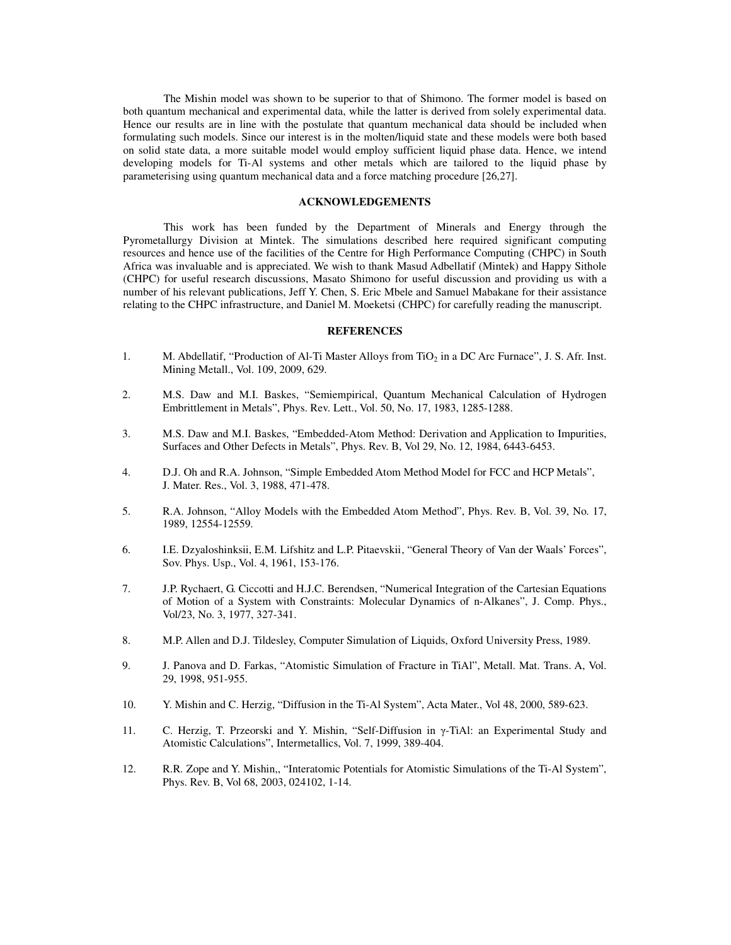The Mishin model was shown to be superior to that of Shimono. The former model is based on both quantum mechanical and experimental data, while the latter is derived from solely experimental data. Hence our results are in line with the postulate that quantum mechanical data should be included when formulating such models. Since our interest is in the molten/liquid state and these models were both based on solid state data, a more suitable model would employ sufficient liquid phase data. Hence, we intend developing models for Ti-Al systems and other metals which are tailored to the liquid phase by parameterising using quantum mechanical data and a force matching procedure [26,27].

#### **ACKNOWLEDGEMENTS**

This work has been funded by the Department of Minerals and Energy through the Pyrometallurgy Division at Mintek. The simulations described here required significant computing resources and hence use of the facilities of the Centre for High Performance Computing (CHPC) in South Africa was invaluable and is appreciated. We wish to thank Masud Adbellatif (Mintek) and Happy Sithole (CHPC) for useful research discussions, Masato Shimono for useful discussion and providing us with a number of his relevant publications, Jeff Y. Chen, S. Eric Mbele and Samuel Mabakane for their assistance relating to the CHPC infrastructure, and Daniel M. Moeketsi (CHPC) for carefully reading the manuscript.

#### **REFERENCES**

- 1. M. Abdellatif, "Production of Al-Ti Master Alloys from TiO<sub>2</sub> in a DC Arc Furnace", J. S. Afr. Inst. Mining Metall., Vol. 109, 2009, 629.
- 2. M.S. Daw and M.I. Baskes, "Semiempirical, Quantum Mechanical Calculation of Hydrogen Embrittlement in Metals", Phys. Rev. Lett., Vol. 50, No. 17, 1983, 1285-1288.
- 3. M.S. Daw and M.I. Baskes, "Embedded-Atom Method: Derivation and Application to Impurities, Surfaces and Other Defects in Metals", Phys. Rev. B, Vol 29, No. 12, 1984, 6443-6453.
- 4. D.J. Oh and R.A. Johnson, "Simple Embedded Atom Method Model for FCC and HCP Metals", J. Mater. Res., Vol. 3, 1988, 471-478.
- 5. R.A. Johnson, "Alloy Models with the Embedded Atom Method", Phys. Rev. B, Vol. 39, No. 17, 1989, 12554-12559.
- 6. I.E. Dzyaloshinksii, E.M. Lifshitz and L.P. Pitaevskii , "General Theory of Van der Waals' Forces", Sov. Phys. Usp., Vol. 4, 1961, 153-176.
- 7. J.P. Rychaert, G. Ciccotti and H.J.C. Berendsen, "Numerical Integration of the Cartesian Equations of Motion of a System with Constraints: Molecular Dynamics of n-Alkanes", J. Comp. Phys., Vol/23, No. 3, 1977, 327-341.
- 8. M.P. Allen and D.J. Tildesley, Computer Simulation of Liquids, Oxford University Press, 1989.
- 9. J. Panova and D. Farkas, "Atomistic Simulation of Fracture in TiAl", Metall. Mat. Trans. A, Vol. 29, 1998, 951-955.
- 10. Y. Mishin and C. Herzig, "Diffusion in the Ti-Al System", Acta Mater., Vol 48, 2000, 589-623.
- 11. C. Herzig, T. Przeorski and Y. Mishin, "Self-Diffusion in γ-TiAl: an Experimental Study and Atomistic Calculations", Intermetallics, Vol. 7, 1999, 389-404.
- 12. R.R. Zope and Y. Mishin,, "Interatomic Potentials for Atomistic Simulations of the Ti-Al System", Phys. Rev. B, Vol 68, 2003, 024102, 1-14.